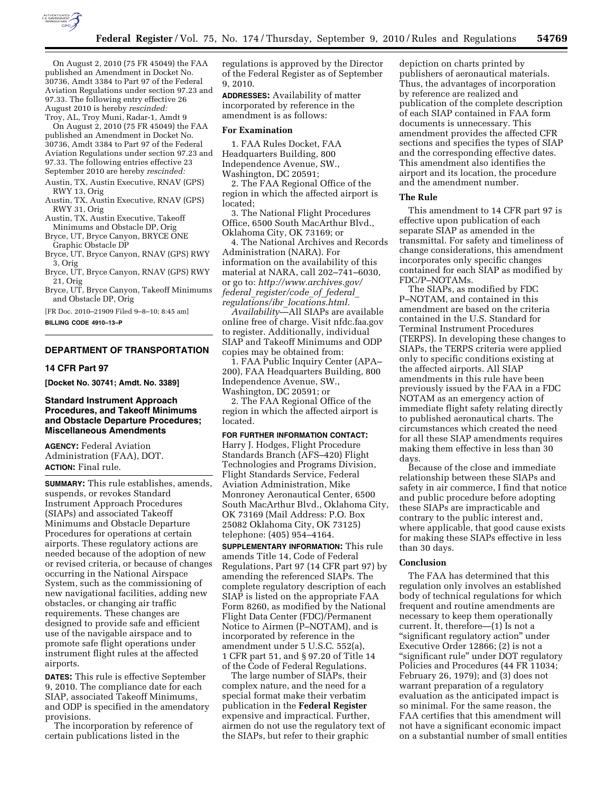

On August 2, 2010 (75 FR 45049) the FAA published an Amendment in Docket No. 30736, Amdt 3384 to Part 97 of the Federal Aviation Regulations under section 97.23 and 97.33. The following entry effective 26 August 2010 is hereby *rescinded:*  Troy, AL, Troy Muni, Radar-1, Amdt 9

On August 2, 2010 (75 FR 45049) the FAA published an Amendment in Docket No. 30736, Amdt 3384 to Part 97 of the Federal Aviation Regulations under section 97.23 and 97.33. The following entries effective 23 September 2010 are hereby *rescinded:* 

- Austin, TX, Austin Executive, RNAV (GPS) RWY 13, Orig
- Austin, TX, Austin Executive, RNAV (GPS) RWY 31, Orig
- Austin, TX, Austin Executive, Takeoff Minimums and Obstacle DP, Orig
- Bryce, UT, Bryce Canyon, BRYCE ONE Graphic Obstacle DP
- Bryce, UT, Bryce Canyon, RNAV (GPS) RWY 3, Orig
- Bryce, UT, Bryce Canyon, RNAV (GPS) RWY 21, Orig
- Bryce, UT, Bryce Canyon, Takeoff Minimums and Obstacle DP, Orig

[FR Doc. 2010–21909 Filed 9–8–10; 8:45 am] **BILLING CODE 4910–13–P** 

## **DEPARTMENT OF TRANSPORTATION**

# **14 CFR Part 97**

**[Docket No. 30741; Amdt. No. 3389]** 

## **Standard Instrument Approach Procedures, and Takeoff Minimums and Obstacle Departure Procedures; Miscellaneous Amendments**

**AGENCY:** Federal Aviation Administration (FAA), DOT. **ACTION:** Final rule.

**SUMMARY:** This rule establishes, amends, suspends, or revokes Standard Instrument Approach Procedures (SIAPs) and associated Takeoff Minimums and Obstacle Departure Procedures for operations at certain airports. These regulatory actions are needed because of the adoption of new or revised criteria, or because of changes occurring in the National Airspace System, such as the commissioning of new navigational facilities, adding new obstacles, or changing air traffic requirements. These changes are designed to provide safe and efficient use of the navigable airspace and to promote safe flight operations under instrument flight rules at the affected airports.

**DATES:** This rule is effective September 9, 2010. The compliance date for each SIAP, associated Takeoff Minimums, and ODP is specified in the amendatory provisions.

The incorporation by reference of certain publications listed in the

regulations is approved by the Director of the Federal Register as of September 9, 2010.

**ADDRESSES:** Availability of matter incorporated by reference in the amendment is as follows:

#### **For Examination**

1. FAA Rules Docket, FAA Headquarters Building, 800 Independence Avenue, SW.,

Washington, DC 20591;

2. The FAA Regional Office of the region in which the affected airport is located;

3. The National Flight Procedures Office, 6500 South MacArthur Blvd., Oklahoma City, OK 73169; or

4. The National Archives and Records Administration (NARA). For information on the availability of this material at NARA, call 202–741–6030, or go to: *http://www.archives.gov/ federal*\_*register/code*\_*of*\_*federal*\_ *regulations/ibr*\_*locations.html.* 

*Availability*—All SIAPs are available online free of charge. Visit nfdc.faa.gov to register. Additionally, individual SIAP and Takeoff Minimums and ODP copies may be obtained from:

1. FAA Public Inquiry Center (APA– 200), FAA Headquarters Building, 800 Independence Avenue, SW., Washington, DC 20591; or

2. The FAA Regional Office of the region in which the affected airport is located.

## **FOR FURTHER INFORMATION CONTACT:**

Harry J. Hodges, Flight Procedure Standards Branch (AFS–420) Flight Technologies and Programs Division, Flight Standards Service, Federal Aviation Administration, Mike Monroney Aeronautical Center, 6500 South MacArthur Blvd., Oklahoma City, OK 73169 (Mail Address: P.O. Box 25082 Oklahoma City, OK 73125) telephone: (405) 954–4164.

**SUPPLEMENTARY INFORMATION:** This rule amends Title 14, Code of Federal Regulations, Part 97 (14 CFR part 97) by amending the referenced SIAPs. The complete regulatory description of each SIAP is listed on the appropriate FAA Form 8260, as modified by the National Flight Data Center (FDC)/Permanent Notice to Airmen (P–NOTAM), and is incorporated by reference in the amendment under 5 U.S.C. 552(a), 1 CFR part 51, and § 97.20 of Title 14 of the Code of Federal Regulations.

The large number of SIAPs, their complex nature, and the need for a special format make their verbatim publication in the **Federal Register**  expensive and impractical. Further, airmen do not use the regulatory text of the SIAPs, but refer to their graphic

depiction on charts printed by publishers of aeronautical materials. Thus, the advantages of incorporation by reference are realized and publication of the complete description of each SIAP contained in FAA form documents is unnecessary. This amendment provides the affected CFR sections and specifies the types of SIAP and the corresponding effective dates. This amendment also identifies the airport and its location, the procedure and the amendment number.

#### **The Rule**

This amendment to 14 CFR part 97 is effective upon publication of each separate SIAP as amended in the transmittal. For safety and timeliness of change considerations, this amendment incorporates only specific changes contained for each SIAP as modified by FDC/P–NOTAMs.

The SIAPs, as modified by FDC P–NOTAM, and contained in this amendment are based on the criteria contained in the U.S. Standard for Terminal Instrument Procedures (TERPS). In developing these changes to SIAPs, the TERPS criteria were applied only to specific conditions existing at the affected airports. All SIAP amendments in this rule have been previously issued by the FAA in a FDC NOTAM as an emergency action of immediate flight safety relating directly to published aeronautical charts. The circumstances which created the need for all these SIAP amendments requires making them effective in less than 30 days.

Because of the close and immediate relationship between these SIAPs and safety in air commerce, I find that notice and public procedure before adopting these SIAPs are impracticable and contrary to the public interest and, where applicable, that good cause exists for making these SIAPs effective in less than 30 days.

## **Conclusion**

The FAA has determined that this regulation only involves an established body of technical regulations for which frequent and routine amendments are necessary to keep them operationally current. It, therefore—(1) Is not a ''significant regulatory action'' under Executive Order 12866; (2) is not a ''significant rule'' under DOT regulatory Policies and Procedures (44 FR 11034; February 26, 1979); and (3) does not warrant preparation of a regulatory evaluation as the anticipated impact is so minimal. For the same reason, the FAA certifies that this amendment will not have a significant economic impact on a substantial number of small entities